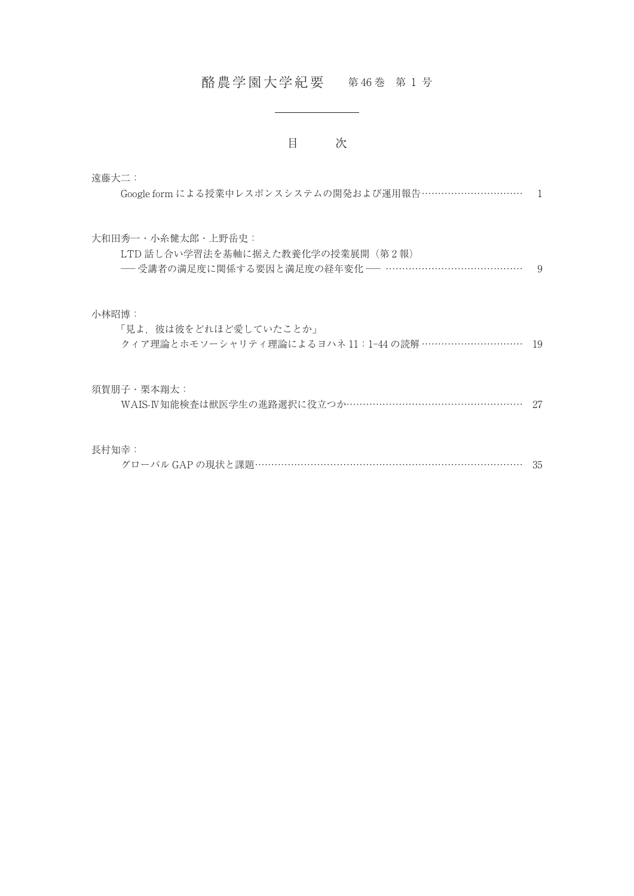## 酪農学園大学紀要 第46巻 第1号

## 目 次

| 遠藤大二:                                                                           |               |
|---------------------------------------------------------------------------------|---------------|
| Google form による授業中レスポンスシステムの開発および運用報告…………………………                                 |               |
| 大和田秀一・小糸健太郎・上野岳史:                                                               |               |
| LTD 話し合い学習法を基軸に据えた教養化学の授業展開(第2報)<br>―― 受講者の満足度に関係する要因と満足度の経年変化 ―― ………………………………… | $\mathcal{Q}$ |
| 小林昭博:                                                                           |               |
| 「見よ、彼は彼をどれほど愛していたことか」                                                           |               |
| クィア理論とホモソーシャリティ理論によるヨハネ 11:1-44 の読解 …………………………                                  | 19            |
| 須賀朋子・栗本翔太:                                                                      |               |
| WAIS-IV知能検査は獣医学生の進路選択に役立つか……………………………………………                                     | -27           |
| 長村知幸:                                                                           |               |
| グローバル GAP の現状と課題……………………………………………………………………                                      | 35            |